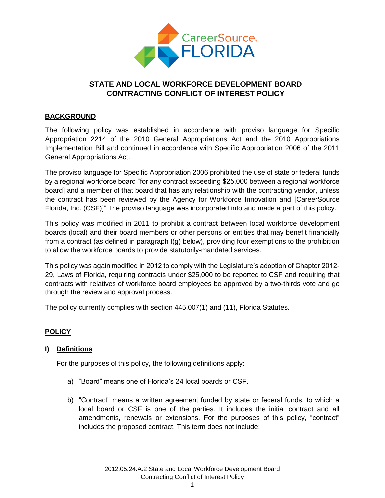

# **STATE AND LOCAL WORKFORCE DEVELOPMENT BOARD CONTRACTING CONFLICT OF INTEREST POLICY**

#### **BACKGROUND**

The following policy was established in accordance with proviso language for Specific Appropriation 2214 of the 2010 General Appropriations Act and the 2010 Appropriations Implementation Bill and continued in accordance with Specific Appropriation 2006 of the 2011 General Appropriations Act.

The proviso language for Specific Appropriation 2006 prohibited the use of state or federal funds by a regional workforce board "for any contract exceeding \$25,000 between a regional workforce board] and a member of that board that has any relationship with the contracting vendor, unless the contract has been reviewed by the Agency for Workforce Innovation and [CareerSource Florida, Inc. (CSF)]" The proviso language was incorporated into and made a part of this policy.

This policy was modified in 2011 to prohibit a contract between local workforce development boards (local) and their board members or other persons or entities that may benefit financially from a contract (as defined in paragraph I(g) below), providing four exemptions to the prohibition to allow the workforce boards to provide statutorily-mandated services.

This policy was again modified in 2012 to comply with the Legislature's adoption of Chapter 2012- 29, Laws of Florida, requiring contracts under \$25,000 to be reported to CSF and requiring that contracts with relatives of workforce board employees be approved by a two-thirds vote and go through the review and approval process.

The policy currently complies with section 445.007(1) and (11), Florida Statutes.

## **POLICY**

#### **I) Definitions**

For the purposes of this policy, the following definitions apply:

- a) "Board" means one of Florida's 24 local boards or CSF.
- b) "Contract" means a written agreement funded by state or federal funds, to which a local board or CSF is one of the parties. It includes the initial contract and all amendments, renewals or extensions. For the purposes of this policy, "contract" includes the proposed contract. This term does not include: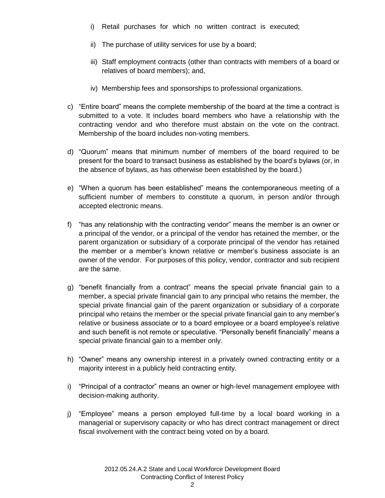- i) Retail purchases for which no written contract is executed;
- ii) The purchase of utility services for use by a board;
- iii) Staff employment contracts (other than contracts with members of a board or relatives of board members); and,
- iv) Membership fees and sponsorships to professional organizations.
- c) "Entire board" means the complete membership of the board at the time a contract is submitted to a vote. It includes board members who have a relationship with the contracting vendor and who therefore must abstain on the vote on the contract. Membership of the board includes non-voting members.
- d) "Quorum" means that minimum number of members of the board required to be present for the board to transact business as established by the board's bylaws (or, in the absence of bylaws, as has otherwise been established by the board.)
- e) "When a quorum has been established" means the contemporaneous meeting of a sufficient number of members to constitute a quorum, in person and/or through accepted electronic means.
- f) "has any relationship with the contracting vendor" means the member is an owner or a principal of the vendor, or a principal of the vendor has retained the member, or the parent organization or subsidiary of a corporate principal of the vendor has retained the member or a member's known relative or member's business associate is an owner of the vendor. For purposes of this policy, vendor, contractor and sub recipient are the same.
- g) "benefit financially from a contract" means the special private financial gain to a member, a special private financial gain to any principal who retains the member, the special private financial gain of the parent organization or subsidiary of a corporate principal who retains the member or the special private financial gain to any member's relative or business associate or to a board employee or a board employee's relative and such benefit is not remote or speculative. "Personally benefit financially" means a special private financial gain to a member only.
- h) "Owner" means any ownership interest in a privately owned contracting entity or a majority interest in a publicly held contracting entity.
- i) "Principal of a contractor" means an owner or high-level management employee with decision-making authority.
- j) "Employee" means a person employed full-time by a local board working in a managerial or supervisory capacity or who has direct contract management or direct fiscal involvement with the contract being voted on by a board.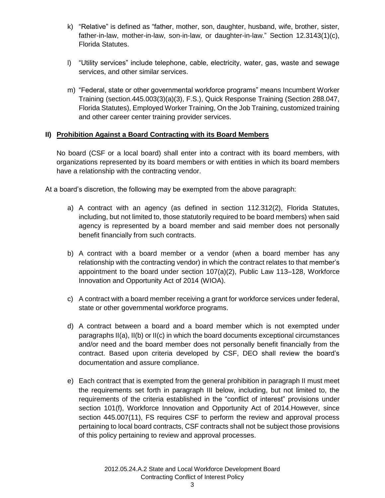- k) "Relative" is defined as "father, mother, son, daughter, husband, wife, brother, sister, father-in-law, mother-in-law, son-in-law, or daughter-in-law." Section 12.3143(1)(c), Florida Statutes.
- l) "Utility services" include telephone, cable, electricity, water, gas, waste and sewage services, and other similar services.
- m) "Federal, state or other governmental workforce programs" means Incumbent Worker Training (section.445.003(3)(a)(3), F.S.), Quick Response Training (Section 288.047, Florida Statutes), Employed Worker Training, On the Job Training, customized training and other career center training provider services.

#### **II) Prohibition Against a Board Contracting with its Board Members**

No board (CSF or a local board) shall enter into a contract with its board members, with organizations represented by its board members or with entities in which its board members have a relationship with the contracting vendor.

At a board's discretion, the following may be exempted from the above paragraph:

- a) A contract with an agency (as defined in section 112.312(2), Florida Statutes, including, but not limited to, those statutorily required to be board members) when said agency is represented by a board member and said member does not personally benefit financially from such contracts.
- b) A contract with a board member or a vendor (when a board member has any relationship with the contracting vendor) in which the contract relates to that member's appointment to the board under section 107(a)(2), Public Law 113–128, Workforce Innovation and Opportunity Act of 2014 (WIOA).
- c) A contract with a board member receiving a grant for workforce services under federal, state or other governmental workforce programs.
- d) A contract between a board and a board member which is not exempted under paragraphs II(a), II(b) or II(c) in which the board documents exceptional circumstances and/or need and the board member does not personally benefit financially from the contract. Based upon criteria developed by CSF, DEO shall review the board's documentation and assure compliance.
- e) Each contract that is exempted from the general prohibition in paragraph II must meet the requirements set forth in paragraph III below, including, but not limited to, the requirements of the criteria established in the "conflict of interest" provisions under section 101(f), Workforce Innovation and Opportunity Act of 2014. However, since section 445.007(11), FS requires CSF to perform the review and approval process pertaining to local board contracts, CSF contracts shall not be subject those provisions of this policy pertaining to review and approval processes.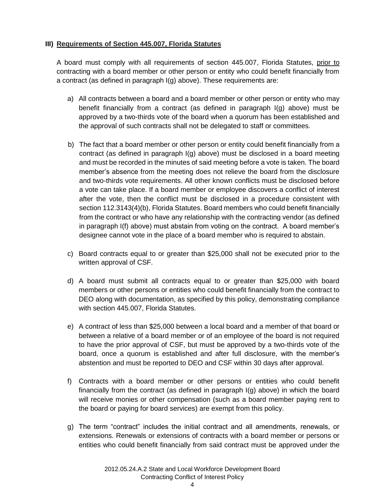## **III) Requirements of Section 445.007, Florida Statutes**

A board must comply with all requirements of section 445.007, Florida Statutes, prior to contracting with a board member or other person or entity who could benefit financially from a contract (as defined in paragraph I(g) above). These requirements are:

- a) All contracts between a board and a board member or other person or entity who may benefit financially from a contract (as defined in paragraph I(g) above) must be approved by a two-thirds vote of the board when a quorum has been established and the approval of such contracts shall not be delegated to staff or committees.
- b) The fact that a board member or other person or entity could benefit financially from a contract (as defined in paragraph I(g) above) must be disclosed in a board meeting and must be recorded in the minutes of said meeting before a vote is taken. The board member's absence from the meeting does not relieve the board from the disclosure and two-thirds vote requirements. All other known conflicts must be disclosed before a vote can take place. If a board member or employee discovers a conflict of interest after the vote, then the conflict must be disclosed in a procedure consistent with section 112.3143(4)(b), Florida Statutes. Board members who could benefit financially from the contract or who have any relationship with the contracting vendor (as defined in paragraph I(f) above) must abstain from voting on the contract. A board member's designee cannot vote in the place of a board member who is required to abstain.
- c) Board contracts equal to or greater than \$25,000 shall not be executed prior to the written approval of CSF.
- d) A board must submit all contracts equal to or greater than \$25,000 with board members or other persons or entities who could benefit financially from the contract to DEO along with documentation, as specified by this policy, demonstrating compliance with section 445.007, Florida Statutes.
- e) A contract of less than \$25,000 between a local board and a member of that board or between a relative of a board member or of an employee of the board is not required to have the prior approval of CSF, but must be approved by a two-thirds vote of the board, once a quorum is established and after full disclosure, with the member's abstention and must be reported to DEO and CSF within 30 days after approval.
- f) Contracts with a board member or other persons or entities who could benefit financially from the contract (as defined in paragraph I(g) above) in which the board will receive monies or other compensation (such as a board member paying rent to the board or paying for board services) are exempt from this policy.
- g) The term "contract" includes the initial contract and all amendments, renewals, or extensions. Renewals or extensions of contracts with a board member or persons or entities who could benefit financially from said contract must be approved under the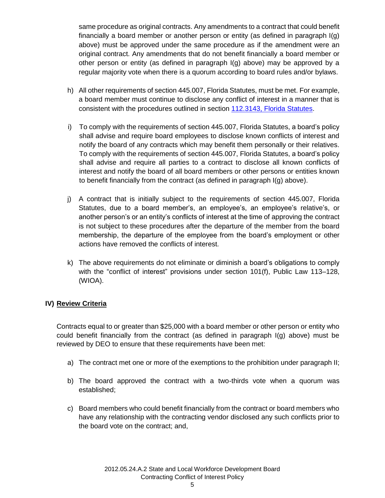same procedure as original contracts. Any amendments to a contract that could benefit financially a board member or another person or entity (as defined in paragraph I(g) above) must be approved under the same procedure as if the amendment were an original contract. Any amendments that do not benefit financially a board member or other person or entity (as defined in paragraph I(g) above) may be approved by a regular majority vote when there is a quorum according to board rules and/or bylaws.

- h) All other requirements of section 445.007, Florida Statutes, must be met. For example, a board member must continue to disclose any conflict of interest in a manner that is consistent with the procedures outlined in section [112.3143,](http://www.leg.state.fl.us/Statutes/index.cfm?App_mode=Display_Statute&Search_String=&URL=Ch0112/Sec3143.HTM) Florida Statutes.
- i) To comply with the requirements of section 445.007, Florida Statutes, a board's policy shall advise and require board employees to disclose known conflicts of interest and notify the board of any contracts which may benefit them personally or their relatives. To comply with the requirements of section 445.007, Florida Statutes, a board's policy shall advise and require all parties to a contract to disclose all known conflicts of interest and notify the board of all board members or other persons or entities known to benefit financially from the contract (as defined in paragraph I(g) above).
- j) A contract that is initially subject to the requirements of section 445.007, Florida Statutes, due to a board member's, an employee's, an employee's relative's, or another person's or an entity's conflicts of interest at the time of approving the contract is not subject to these procedures after the departure of the member from the board membership, the departure of the employee from the board's employment or other actions have removed the conflicts of interest.
- k) The above requirements do not eliminate or diminish a board's obligations to comply with the "conflict of interest" provisions under section 101(f), Public Law 113–128, (WIOA).

## **IV) Review Criteria**

Contracts equal to or greater than \$25,000 with a board member or other person or entity who could benefit financially from the contract (as defined in paragraph I(g) above) must be reviewed by DEO to ensure that these requirements have been met:

- a) The contract met one or more of the exemptions to the prohibition under paragraph II;
- b) The board approved the contract with a two-thirds vote when a quorum was established;
- c) Board members who could benefit financially from the contract or board members who have any relationship with the contracting vendor disclosed any such conflicts prior to the board vote on the contract; and,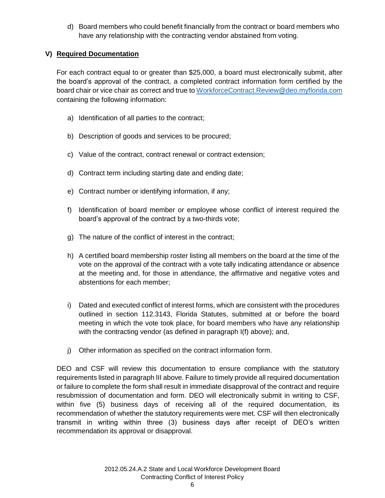d) Board members who could benefit financially from the contract or board members who have any relationship with the contracting vendor abstained from voting.

## **V) Required Documentation**

For each contract equal to or greater than \$25,000, a board must electronically submit, after the board's approval of the contract, a completed contract information form certified by the board chair or vice chair as correct and true to [WorkforceContract.Review@deo.myflorida.com](mailto:WorkforceContract.Review@deo.myflorida.com) containing the following information:

- a) Identification of all parties to the contract;
- b) Description of goods and services to be procured;
- c) Value of the contract, contract renewal or contract extension;
- d) Contract term including starting date and ending date;
- e) Contract number or identifying information, if any;
- f) Identification of board member or employee whose conflict of interest required the board's approval of the contract by a two-thirds vote;
- g) The nature of the conflict of interest in the contract;
- h) A certified board membership roster listing all members on the board at the time of the vote on the approval of the contract with a vote tally indicating attendance or absence at the meeting and, for those in attendance, the affirmative and negative votes and abstentions for each member;
- i) Dated and executed conflict of interest forms, which are consistent with the procedures outlined in section 112.3143, Florida Statutes, submitted at or before the board meeting in which the vote took place, for board members who have any relationship with the contracting vendor (as defined in paragraph I(f) above); and,
- j) Other information as specified on the contract information form.

DEO and CSF will review this documentation to ensure compliance with the statutory requirements listed in paragraph III above. Failure to timely provide all required documentation or failure to complete the form shall result in immediate disapproval of the contract and require resubmission of documentation and form. DEO will electronically submit in writing to CSF, within five (5) business days of receiving all of the required documentation, its recommendation of whether the statutory requirements were met. CSF will then electronically transmit in writing within three (3) business days after receipt of DEO's written recommendation its approval or disapproval.